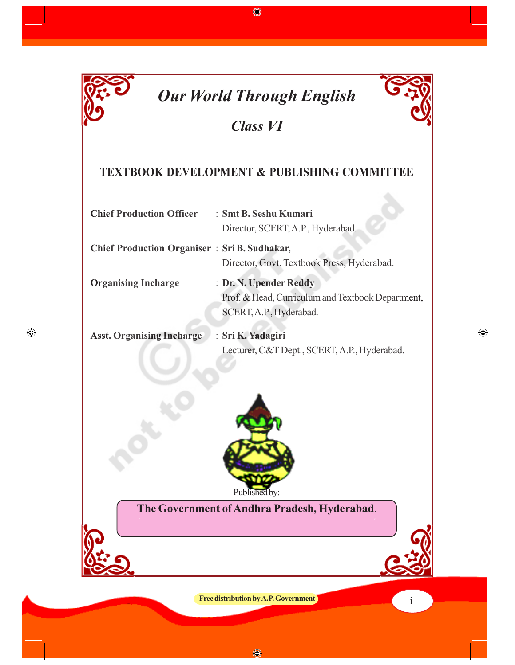

 $\bigoplus$ 

♦

## *Class VI*

### **TEXTBOOK DEVELOPMENT & PUBLISHING COMMITTEE**

| <b>Chief Production Officer</b>                     | : Smt B. Seshu Kumari                             |  |
|-----------------------------------------------------|---------------------------------------------------|--|
|                                                     | Director, SCERT, A.P., Hyderabad.                 |  |
| <b>Chief Production Organiser: Sri B. Sudhakar,</b> |                                                   |  |
|                                                     | Director, Govt. Textbook Press, Hyderabad.        |  |
| <b>Organising Incharge</b>                          | : Dr. N. Upender Reddy                            |  |
|                                                     | Prof. & Head, Curriculum and Textbook Department, |  |
|                                                     | SCERT, A.P., Hyderabad.                           |  |
| <b>Asst. Organising Incharge</b>                    | : Sri K. Yadagiri                                 |  |
|                                                     | Lecturer, C&T Dept., SCERT, A.P., Hyderabad.      |  |



### **The Government of Andhra Pradesh, Hyderabad**.

**Free distribution by A.P. Government i** 

◈

 $\bigoplus$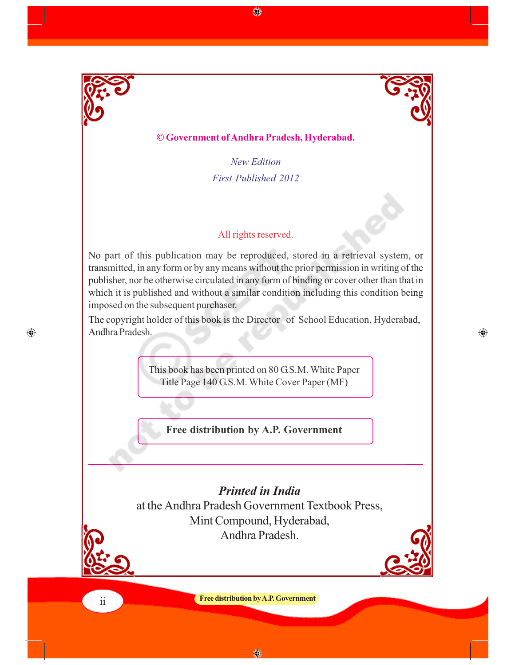

 $\bigcirc$ 

### **© Government of Andhra Pradesh, Hyderabad.**

*New Edition First Published 2012*

◈

#### All rights reserved.

No part of this publication may be reproduced, stored in a retrieval system, or transmitted, in any form or by any means without the prior permission in writing of the publisher, nor be otherwise circulated in any form of binding or cover other than that in which it is published and without a similar condition including this condition being imposed on the subsequent purchaser.

The copyright holder of this book is the Director of School Education, Hyderabad, Andhra Pradesh.

 $\bigoplus$ 

This book has been printed on 80 G.S.M. White Paper Title Page 140 G.S.M. White Cover Paper (MF)

**Free distribution by A.P. Government**

*Printed in India* at the Andhra Pradesh Government Textbook Press, Mint Compound, Hyderabad, Andhra Pradesh.



**Free distribution by A.P. Government** ii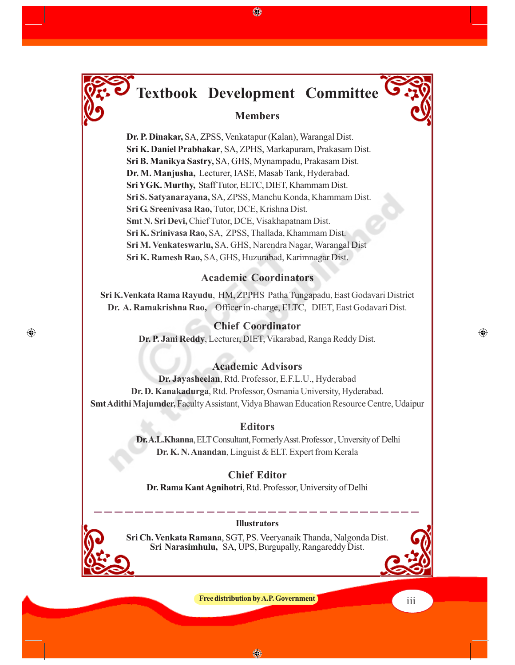

⊕

# **Textbook Development Committee**

♠

#### **Members**

**Dr. P. Dinakar,** SA, ZPSS, Venkatapur (Kalan), Warangal Dist. **Sri K. Daniel Prabhakar**, SA, ZPHS, Markapuram, Prakasam Dist. **Sri B. Manikya Sastry,** SA, GHS, Mynampadu, Prakasam Dist. **Dr. M. Manjusha,** Lecturer, IASE, Masab Tank, Hyderabad. **Sri YGK. Murthy,** Staff Tutor, ELTC, DIET, Khammam Dist. **Sri S. Satyanarayana,** SA, ZPSS, Manchu Konda, Khammam Dist. **Sri G. Sreenivasa Rao,** Tutor, DCE, Krishna Dist. **Smt N. Sri Devi,** Chief Tutor, DCE, Visakhapatnam Dist. **Sri K. Srinivasa Rao,** SA, ZPSS, Thallada, Khammam Dist. **Sri M. Venkateswarlu,** SA, GHS, Narendra Nagar, Warangal Dist **Sri K. Ramesh Rao,** SA, GHS, Huzurabad, Karimnagar Dist.

#### **Academic Coordinators**

**Sri K.Venkata Rama Rayudu**, HM, ZPPHS Patha Tungapadu, East Godavari District **Dr. A. Ramakrishna Rao,** Officer in-charge, ELTC, DIET, East Godavari Dist.

#### **Chief Coordinator**

**Dr. P. Jani Reddy**, Lecturer, DIET, Vikarabad, Ranga Reddy Dist.

#### **Academic Advisors**

**Dr. Jayasheelan**, Rtd. Professor, E.F.L.U., Hyderabad **Dr. D. Kanakadurga**, Rtd. Professor, Osmania University, Hyderabad. **Smt Adithi Majumder,** Faculty Assistant, Vidya Bhawan Education Resource Centre, Udaipur

#### **Editors**

**Dr. A.L.Khanna**, ELT Consultant, Formerly Asst. Professor , Unversity of Delhi **Dr. K. N. Anandan**, Linguist & ELT. Expert from Kerala

**Chief Editor Dr. Rama Kant Agnihotri**, Rtd. Professor, University of Delhi

#### **Illustrators**

**Sri Ch. Venkata Ramana**, SGT, PS. Veeryanaik Thanda, Nalgonda Dist. **Sri Narasimhulu,** SA, UPS, Burgupally, Rangareddy Dist.



⊕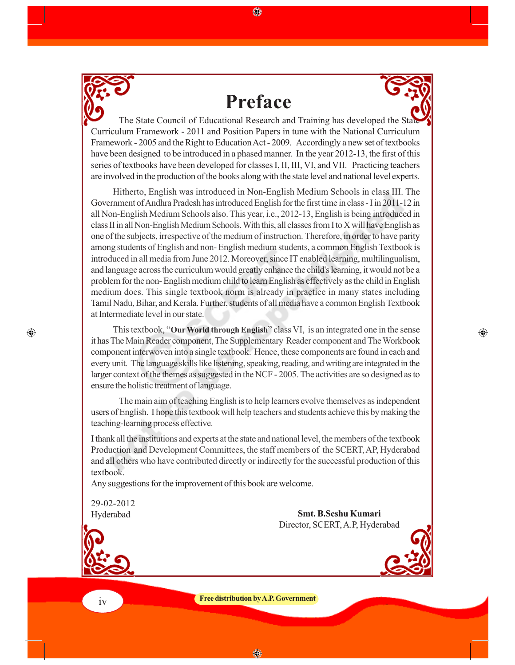

# **Preface**

⊕



⊕

The State Council of Educational Research and Training has developed the State Curriculum Framework - 2011 and Position Papers in tune with the National Curriculum Framework - 2005 and the Right to Education Act - 2009. Accordingly a new set of textbooks have been designed to be introduced in a phased manner. In the year 2012-13, the first of this series of textbooks have been developed for classes I, II, III, VI, and VII. Practicing teachers are involved in the production of the books along with the state level and national level experts.

Hitherto, English was introduced in Non-English Medium Schools in class III. The Government of Andhra Pradesh has introduced English for the first time in class - I in 2011-12 in all Non-English Medium Schools also. This year, i.e., 2012-13, English is being introduced in class II in all Non-English Medium Schools. With this, all classes from I to X will have English as one of the subjects, irrespective of the medium of instruction. Therefore, in order to have parity among students of English and non- English medium students, a common English Textbook is introduced in all media from June 2012. Moreover, since IT enabled learning, multilingualism, and language across the curriculum would greatly enhance the child's learning, it would not be a problem for the non- English medium child to learn English as effectively as the child in English medium does. This single textbook norm is already in practice in many states including Tamil Nadu, Bihar, and Kerala. Further, students of all media have a common English Textbook at Intermediate level in our state.

This textbook, "**Our World through English**" class VI, is an integrated one in the sense it has The Main Reader component, The Supplementary Reader component and The Workbook component interwoven into a single textbook. Hence, these components are found in each and every unit. The language skills like listening, speaking, reading, and writing are integrated in the larger context of the themes as suggested in the NCF - 2005. The activities are so designed as to ensure the holistic treatment of language.

The main aim of teaching English is to help learners evolve themselves as independent users of English. I hope this textbook will help teachers and students achieve this by making the teaching-learning process effective.

I thank all the institutions and experts at the state and national level, the members of the textbook Production and Development Committees, the staff members of the SCERT, AP, Hyderabad and all others who have contributed directly or indirectly for the successful production of this textbook.

Any suggestions for the improvement of this book are welcome.

29-02-2012 Hyderabad

**Smt. B.Seshu Kumari** Director, SCERT, A.P, Hyderabad



 $\bigcirc$ 

**Free distribution by A.P. Government**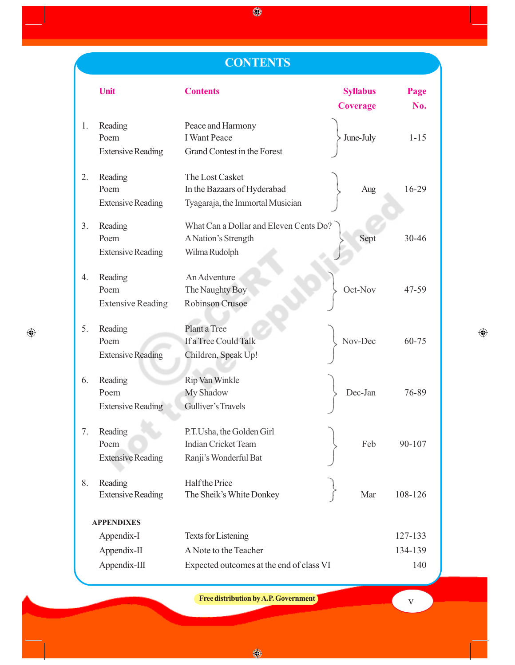### **CONTENTS**

 $\bigcirc\hspace{-0.75mm}\bigcirc$ 

|                   | Unit                                        | <b>Contents</b>                                                                    | <b>Syllabus</b><br><b>Coverage</b> | Page<br>No. |
|-------------------|---------------------------------------------|------------------------------------------------------------------------------------|------------------------------------|-------------|
| 1.                | Reading<br>Poem<br><b>Extensive Reading</b> | Peace and Harmony<br><b>I</b> Want Peace<br>Grand Contest in the Forest            | June-July                          | $1 - 15$    |
| 2.                | Reading<br>Poem<br><b>Extensive Reading</b> | The Lost Casket<br>In the Bazaars of Hyderabad<br>Tyagaraja, the Immortal Musician | Aug                                | 16-29       |
| 3.                | Reading<br>Poem<br><b>Extensive Reading</b> | What Can a Dollar and Eleven Cents Do?<br>A Nation's Strength<br>Wilma Rudolph     | Sept                               | $30 - 46$   |
| 4.                | Reading<br>Poem<br><b>Extensive Reading</b> | An Adventure<br>The Naughty Boy<br><b>Robinson Crusoe</b>                          | Oct-Nov                            | 47-59       |
| 5.                | Reading<br>Poem<br><b>Extensive Reading</b> | Plant a Tree<br>If a Tree Could Talk<br>Children, Speak Up!                        | Nov-Dec                            | $60 - 75$   |
| 6.                | Reading<br>Poem<br><b>Extensive Reading</b> | Rip Van Winkle<br>My Shadow<br>Gulliver's Travels                                  | Dec-Jan                            | 76-89       |
| 7.                | Reading<br>Poem<br><b>Extensive Reading</b> | P.T.Usha, the Golden Girl<br><b>Indian Cricket Team</b><br>Ranji's Wonderful Bat   | Feb                                | 90-107      |
| 8.                | Reading<br><b>Extensive Reading</b>         | Half the Price<br>The Sheik's White Donkey                                         | Mar                                | 108-126     |
| <b>APPENDIXES</b> |                                             |                                                                                    |                                    |             |
|                   | Appendix-I                                  | <b>Texts for Listening</b>                                                         |                                    | 127-133     |
|                   | Appendix-II                                 | A Note to the Teacher                                                              |                                    | 134-139     |
|                   | Appendix-III                                | Expected outcomes at the end of class VI                                           |                                    | 140         |

 $\bigoplus$ 

**Free distribution by A.P. Government** 

 $\bigoplus$ 

 $\bigcirc$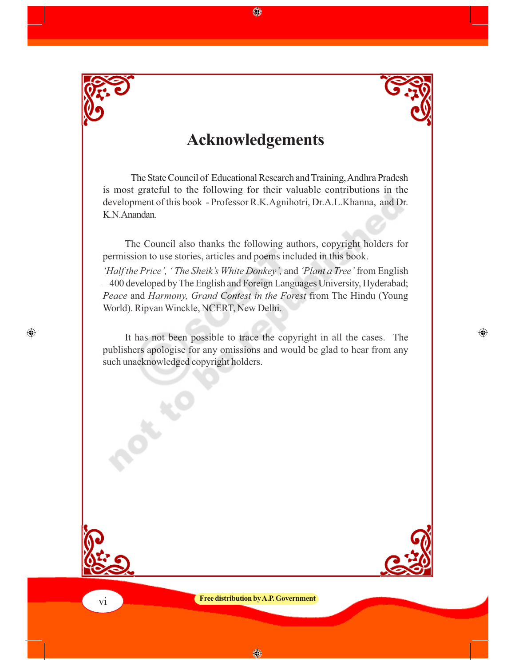

 $\bigoplus$ 



### **Acknowledgements**

◈

The State Council of Educational Research and Training, Andhra Pradesh is most grateful to the following for their valuable contributions in the development of this book - Professor R.K.Agnihotri, Dr.A.L.Khanna, and Dr. K.N.Anandan.

The Council also thanks the following authors, copyright holders for permission to use stories, articles and poems included in this book. *'Half the Price', ' The Sheik's White Donkey',* and *'Plant a Tree'* from English – 400 developed by The English and Foreign Languages University, Hyderabad; *Peace* and *Harmony, Grand Contest in the Forest* from The Hindu (Young World). Ripvan Winckle, NCERT, New Delhi.

It has not been possible to trace the copyright in all the cases. The publishers apologise for any omissions and would be glad to hear from any such unacknowledged copyright holders.



 $\bigoplus$ 

**Free distribution by A.P. Government**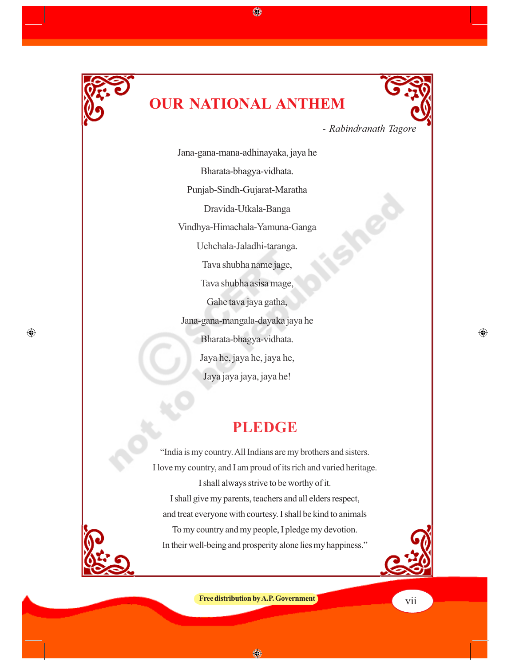

 $\bigoplus$ 

# **OUR NATIONAL ANTHEM**

◈



 $\bigoplus$ 

- *Rabindranath Tagore*

Jana-gana-mana-adhinayaka, jaya he Bharata-bhagya-vidhata. Punjab-Sindh-Gujarat-Maratha Dravida-Utkala-Banga Vindhya-Himachala-Yamuna-Ganga Uchchala-Jaladhi-taranga. Tava shubha name jage, Tava shubha asisa mage, Gahe tava jaya gatha, Jana-gana-mangala-dayaka jaya he Bharata-bhagya-vidhata. Jaya he, jaya he, jaya he, Jaya jaya jaya, jaya he!

### **PLEDGE**

"India is my country. All Indians are my brothers and sisters. I love my country, and I am proud of its rich and varied heritage. I shall always strive to be worthy of it. I shall give my parents, teachers and all elders respect, and treat everyone with courtesy. I shall be kind to animals To my country and my people, I pledge my devotion. In their well-being and prosperity alone lies my happiness."

**Free distribution by A.P. Government** viii

◈